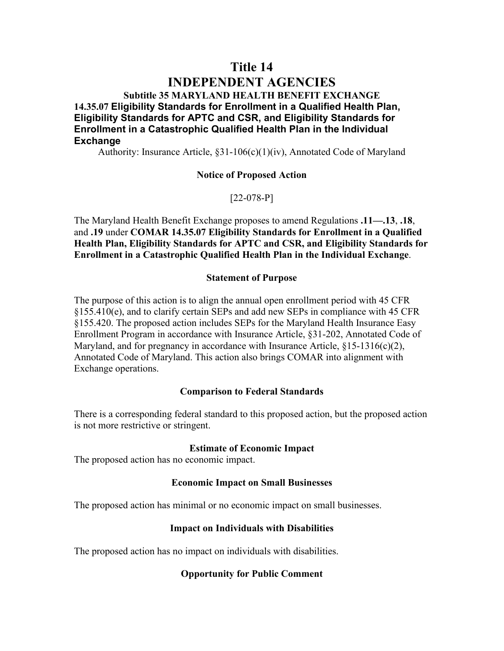## **Title 14**

# **INDEPENDENT AGENCIES**

**Subtitle 35 MARYLAND HEALTH BENEFIT EXCHANGE 14.35.07 Eligibility Standards for Enrollment in a Qualified Health Plan, Eligibility Standards for APTC and CSR, and Eligibility Standards for Enrollment in a Catastrophic Qualified Health Plan in the Individual Exchange**

Authority: Insurance Article, §31-106(c)(1)(iv), Annotated Code of Maryland

### **Notice of Proposed Action**

[22-078-P]

The Maryland Health Benefit Exchange proposes to amend Regulations **.11—.13**, **.18**, and **.19** under **COMAR 14.35.07 Eligibility Standards for Enrollment in a Qualified Health Plan, Eligibility Standards for APTC and CSR, and Eligibility Standards for Enrollment in a Catastrophic Qualified Health Plan in the Individual Exchange**.

### **Statement of Purpose**

The purpose of this action is to align the annual open enrollment period with 45 CFR §155.410(e), and to clarify certain SEPs and add new SEPs in compliance with 45 CFR §155.420. The proposed action includes SEPs for the Maryland Health Insurance Easy Enrollment Program in accordance with Insurance Article, §31-202, Annotated Code of Maryland, and for pregnancy in accordance with Insurance Article,  $\S 15$ -1316(c)(2), Annotated Code of Maryland. This action also brings COMAR into alignment with Exchange operations.

### **Comparison to Federal Standards**

There is a corresponding federal standard to this proposed action, but the proposed action is not more restrictive or stringent.

### **Estimate of Economic Impact**

The proposed action has no economic impact.

### **Economic Impact on Small Businesses**

The proposed action has minimal or no economic impact on small businesses.

### **Impact on Individuals with Disabilities**

The proposed action has no impact on individuals with disabilities.

### **Opportunity for Public Comment**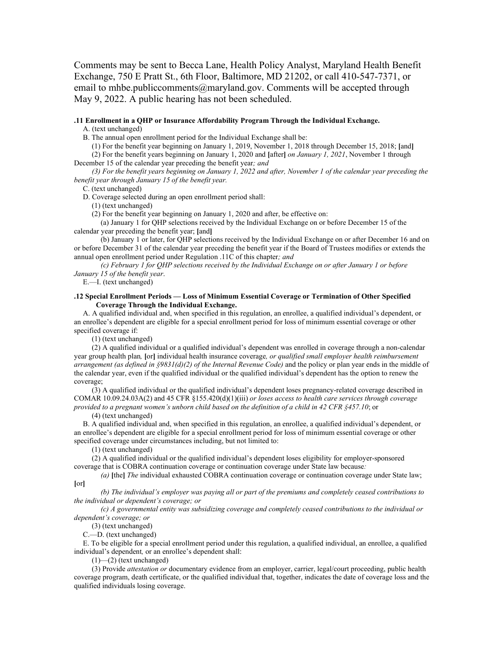Comments may be sent to Becca Lane, Health Policy Analyst, Maryland Health Benefit Exchange, 750 E Pratt St., 6th Floor, Baltimore, MD 21202, or call 410-547-7371, or email to mhbe.publiccomments@maryland.gov. Comments will be accepted through May 9, 2022. A public hearing has not been scheduled.

#### **.11 Enrollment in a QHP or Insurance Affordability Program Through the Individual Exchange.** A. (text unchanged)

B. The annual open enrollment period for the Individual Exchange shall be:

(1) For the benefit year beginning on January 1, 2019, November 1, 2018 through December 15, 2018; **[**and**]** (2) For the benefit years beginning on January 1, 2020 and **[**after**]** *on January 1, 2021*, November 1 through

December 15 of the calendar year preceding the benefit year*; and*

*(3) For the benefit years beginning on January 1, 2022 and after, November 1 of the calendar year preceding the benefit year through January 15 of the benefit year.*

C. (text unchanged)

D. Coverage selected during an open enrollment period shall:

(1) (text unchanged)

(2) For the benefit year beginning on January 1, 2020 and after, be effective on:

(a) January 1 for QHP selections received by the Individual Exchange on or before December 15 of the calendar year preceding the benefit year; **[**and**]**

(b) January 1 or later, for QHP selections received by the Individual Exchange on or after December 16 and on or before December 31 of the calendar year preceding the benefit year if the Board of Trustees modifies or extends the annual open enrollment period under Regulation .11C of this chapter*; and*

*(c) February 1 for QHP selections received by the Individual Exchange on or after January 1 or before January 15 of the benefit year*.

E.—I. (text unchanged)

#### **.12 Special Enrollment Periods — Loss of Minimum Essential Coverage or Termination of Other Specified Coverage Through the Individual Exchange.**

A. A qualified individual and, when specified in this regulation, an enrollee, a qualified individual's dependent, or an enrollee's dependent are eligible for a special enrollment period for loss of minimum essential coverage or other specified coverage if:

(1) (text unchanged)

(2) A qualified individual or a qualified individual's dependent was enrolled in coverage through a non-calendar year group health plan*,* **[**or**]** individual health insurance coverage*, or qualified small employer health reimbursement arrangement (as defined in §9831(d)(2) of the Internal Revenue Code)* and the policy or plan year ends in the middle of the calendar year, even if the qualified individual or the qualified individual's dependent has the option to renew the coverage;

(3) A qualified individual or the qualified individual's dependent loses pregnancy-related coverage described in COMAR 10.09.24.03A(2) and 45 CFR §155.420(d)(1)(iii) *or loses access to health care services through coverage provided to a pregnant women's unborn child based on the definition of a child in 42 CFR §457.10*; or

(4) (text unchanged)

B. A qualified individual and, when specified in this regulation, an enrollee, a qualified individual's dependent, or an enrollee's dependent are eligible for a special enrollment period for loss of minimum essential coverage or other specified coverage under circumstances including, but not limited to:

(1) (text unchanged)

(2) A qualified individual or the qualified individual's dependent loses eligibility for employer-sponsored coverage that is COBRA continuation coverage or continuation coverage under State law because*:*

*(a)* **[**the**]** *The* individual exhausted COBRA continuation coverage or continuation coverage under State law; **[**or**]**

*(b) The individual's employer was paying all or part of the premiums and completely ceased contributions to the individual or dependent's coverage; or*

*(c) A governmental entity was subsidizing coverage and completely ceased contributions to the individual or dependent's coverage; or*

(3) (text unchanged)

C.—D. (text unchanged)

E. To be eligible for a special enrollment period under this regulation, a qualified individual, an enrollee, a qualified individual's dependent*,* or an enrollee's dependent shall:

(1)—(2) (text unchanged)

(3) Provide *attestation or* documentary evidence from an employer, carrier, legal/court proceeding, public health coverage program, death certificate, or the qualified individual that, together, indicates the date of coverage loss and the qualified individuals losing coverage.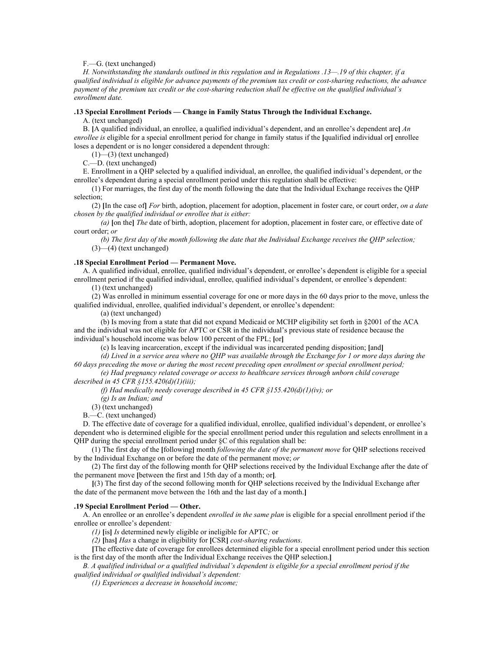#### F.—G. (text unchanged)

*H. Notwithstanding the standards outlined in this regulation and in Regulations .13—.19 of this chapter, if a qualified individual is eligible for advance payments of the premium tax credit or cost-sharing reductions, the advance payment of the premium tax credit or the cost-sharing reduction shall be effective on the qualified individual's enrollment date.*

#### **.13 Special Enrollment Periods — Change in Family Status Through the Individual Exchange.**

A. (text unchanged)

B. **[**A qualified individual, an enrollee, a qualified individual's dependent, and an enrollee's dependent are**]** *An enrollee is* eligible for a special enrollment period for change in family status if the **[**qualified individual or**]** enrollee loses a dependent or is no longer considered a dependent through:

 $(1)$ — $(3)$  (text unchanged)

C.—D. (text unchanged)

E. Enrollment in a QHP selected by a qualified individual, an enrollee, the qualified individual's dependent, or the enrollee's dependent during a special enrollment period under this regulation shall be effective:

(1) For marriages, the first day of the month following the date that the Individual Exchange receives the QHP selection;

(2) **[**In the case of**]** *For* birth, adoption, placement for adoption, placement in foster care, or court order, *on a date chosen by the qualified individual or enrollee that is either:*

*(a)* **[**on the**]** *The* date of birth, adoption, placement for adoption, placement in foster care, or effective date of court order; *or*

*(b) The first day of the month following the date that the Individual Exchange receives the QHP selection;* (3)—(4) (text unchanged)

#### **.18 Special Enrollment Period — Permanent Move.**

A. A qualified individual, enrollee, qualified individual's dependent, or enrollee's dependent is eligible for a special enrollment period if the qualified individual, enrollee, qualified individual's dependent, or enrollee's dependent:

(1) (text unchanged)

(2) Was enrolled in minimum essential coverage for one or more days in the 60 days prior to the move, unless the qualified individual, enrollee, qualified individual's dependent, or enrollee's dependent:

(a) (text unchanged)

(b) Is moving from a state that did not expand Medicaid or MCHP eligibility set forth in §2001 of the ACA and the individual was not eligible for APTC or CSR in the individual's previous state of residence because the individual's household income was below 100 percent of the FPL; **[**or**]**

(c) Is leaving incarceration, except if the individual was incarcerated pending disposition; **[**and**]** *(d) Lived in a service area where no QHP was available through the Exchange for 1 or more days during the 60 days preceding the move or during the most recent preceding open enrollment or special enrollment period;*

*(e) Had pregnancy related coverage or access to healthcare services through unborn child coverage described in 45 CFR §155.420(d)(1)(iii);*

*(f) Had medically needy coverage described in 45 CFR §155.420(d)(1)(iv); or*

*(g) Is an Indian; and*

(3) (text unchanged)

B.—C. (text unchanged)

D. The effective date of coverage for a qualified individual, enrollee, qualified individual's dependent, or enrollee's dependent who is determined eligible for the special enrollment period under this regulation and selects enrollment in a QHP during the special enrollment period under §C of this regulation shall be:

(1) The first day of the **[**following**]** month *following the date of the permanent move* for QHP selections received by the Individual Exchange on or before the date of the permanent move; *or*

(2) The first day of the following month for QHP selections received by the Individual Exchange after the date of the permanent move **[**between the first and 15th day of a month; or**]***.*

**[**(3) The first day of the second following month for QHP selections received by the Individual Exchange after the date of the permanent move between the 16th and the last day of a month.**]**

#### **.19 Special Enrollment Period — Other.**

A. An enrollee or an enrollee's dependent *enrolled in the same plan* is eligible for a special enrollment period if the enrollee or enrollee's dependent*:*

*(1)* **[**is**]** *Is* determined newly eligible or ineligible for APTC*;* or

*(2)* **[**has**]** *Has* a change in eligibility for **[**CSR**]** *cost-sharing reductions*.

**[**The effective date of coverage for enrollees determined eligible for a special enrollment period under this section is the first day of the month after the Individual Exchange receives the QHP selection.**]**

*B. A qualified individual or a qualified individual's dependent is eligible for a special enrollment period if the qualified individual or qualified individual's dependent:*

*(1) Experiences a decrease in household income;*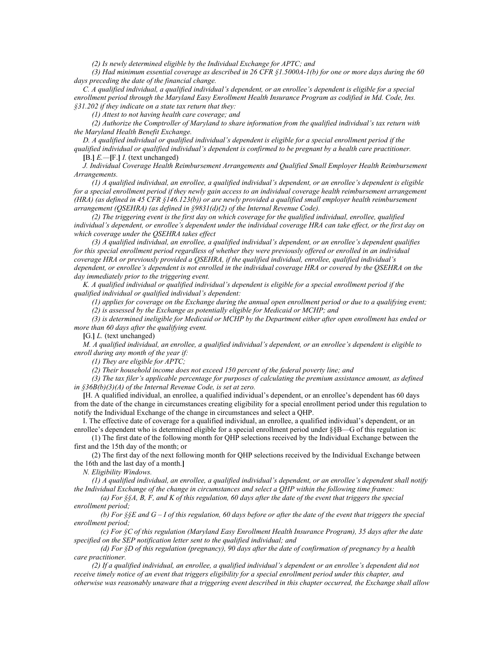*(2) Is newly determined eligible by the Individual Exchange for APTC; and*

*(3) Had minimum essential coverage as described in 26 CFR §1.5000A-1(b) for one or more days during the 60 days preceding the date of the financial change.*

*C. A qualified individual, a qualified individual's dependent, or an enrollee's dependent is eligible for a special*  enrollment period through the Maryland Easy Enrollment Health Insurance Program as codified in Md. Code, Ins. *§31.202 if they indicate on a state tax return that they:* 

*(1) Attest to not having health care coverage; and*

*(2) Authorize the Comptroller of Maryland to share information from the qualified individual's tax return with the Maryland Health Benefit Exchange.*

*D. A qualified individual or qualified individual's dependent is eligible for a special enrollment period if the qualified individual or qualified individual's dependent is confirmed to be pregnant by a health care practitioner.*

**[**B.**]** *E.—***[**F.**]** *I.* (text unchanged)

*J. Individual Coverage Health Reimbursement Arrangements and Qualified Small Employer Health Reimbursement Arrangements.*

*(1) A qualified individual, an enrollee, a qualified individual's dependent, or an enrollee's dependent is eligible for a special enrollment period if they newly gain access to an individual coverage health reimbursement arrangement (HRA) (as defined in 45 CFR §146.123(b)) or are newly provided a qualified small employer health reimbursement arrangement (QSEHRA) (as defined in §9831(d)(2) of the Internal Revenue Code).* 

*(2) The triggering event is the first day on which coverage for the qualified individual, enrollee, qualified individual's dependent, or enrollee's dependent under the individual coverage HRA can take effect, or the first day on which coverage under the QSEHRA takes effect*

*(3) A qualified individual, an enrollee, a qualified individual's dependent, or an enrollee's dependent qualifies for this special enrollment period regardless of whether they were previously offered or enrolled in an individual coverage HRA or previously provided a QSEHRA, if the qualified individual, enrollee, qualified individual's*  dependent, or enrollee's dependent is not enrolled in the individual coverage HRA or covered by the QSEHRA on the *day immediately prior to the triggering event.*

*K. A qualified individual or qualified individual's dependent is eligible for a special enrollment period if the qualified individual or qualified individual's dependent:* 

*(1) applies for coverage on the Exchange during the annual open enrollment period or due to a qualifying event; (2) is assessed by the Exchange as potentially eligible for Medicaid or MCHP; and* 

*(3) is determined ineligible for Medicaid or MCHP by the Department either after open enrollment has ended or more than 60 days after the qualifying event.*

**[**G.**]** *L.* (text unchanged)

*M. A qualified individual, an enrollee, a qualified individual's dependent, or an enrollee's dependent is eligible to enroll during any month of the year if:*

*(1) They are eligible for APTC;*

*(2) Their household income does not exceed 150 percent of the federal poverty line; and*

*(3) The tax filer's applicable percentage for purposes of calculating the premium assistance amount, as defined in §36B(b)(3)(A) of the Internal Revenue Code, is set at zero.*

**[**H. A qualified individual, an enrollee, a qualified individual's dependent, or an enrollee's dependent has 60 days from the date of the change in circumstances creating eligibility for a special enrollment period under this regulation to notify the Individual Exchange of the change in circumstances and select a QHP.

I. The effective date of coverage for a qualified individual, an enrollee, a qualified individual's dependent, or an enrollee's dependent who is determined eligible for a special enrollment period under §§B—G of this regulation is:

(1) The first date of the following month for QHP selections received by the Individual Exchange between the first and the 15th day of the month; or

(2) The first day of the next following month for QHP selections received by the Individual Exchange between the 16th and the last day of a month.**]**

*N. Eligibility Windows.*

*(1) A qualified individual, an enrollee, a qualified individual's dependent, or an enrollee's dependent shall notify the Individual Exchange of the change in circumstances and select a QHP within the following time frames:*

*(a) For §§A, B, F, and K of this regulation, 60 days after the date of the event that triggers the special enrollment period;* 

*(b) For §§E and G – I of this regulation, 60 days before or after the date of the event that triggers the special enrollment period;* 

*(c) For §C of this regulation (Maryland Easy Enrollment Health Insurance Program), 35 days after the date specified on the SEP notification letter sent to the qualified individual; and*

*(d) For §D of this regulation (pregnancy), 90 days after the date of confirmation of pregnancy by a health care practitioner.*

*(2) If a qualified individual, an enrollee, a qualified individual's dependent or an enrollee's dependent did not receive timely notice of an event that triggers eligibility for a special enrollment period under this chapter, and otherwise was reasonably unaware that a triggering event described in this chapter occurred, the Exchange shall allow*